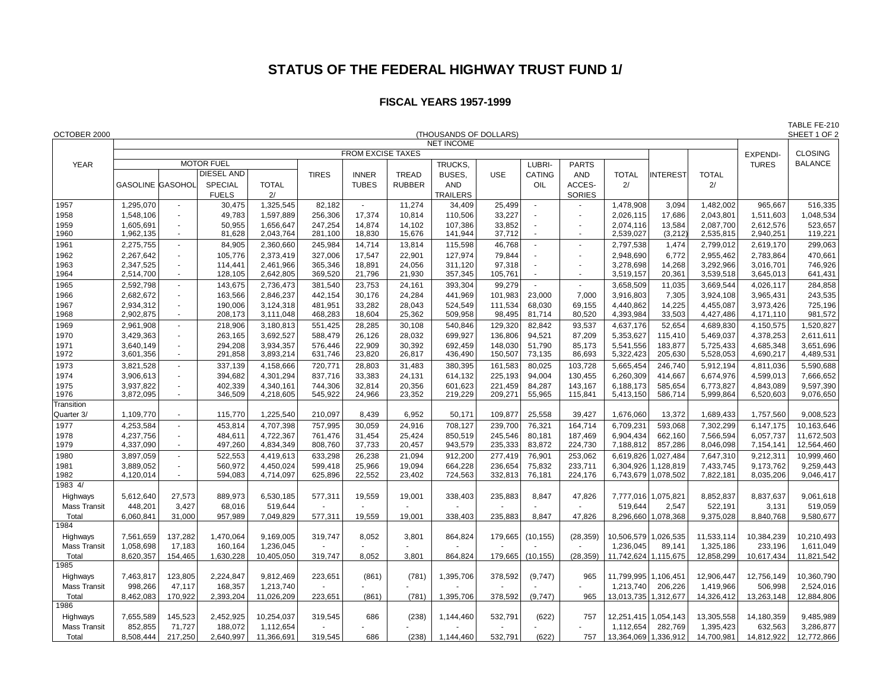## **STATUS OF THE FEDERAL HIGHWAY TRUST FUND 1/**

## **FISCAL YEARS 1957-1999**

|                     |                                             |                    |                    |                        |                    |                          |                  |                    |                    |                  |                    |                        |                     |                        | TABLE FE-210           |                        |
|---------------------|---------------------------------------------|--------------------|--------------------|------------------------|--------------------|--------------------------|------------------|--------------------|--------------------|------------------|--------------------|------------------------|---------------------|------------------------|------------------------|------------------------|
| OCTOBER 2000        | (THOUSANDS OF DOLLARS)<br><b>NET INCOME</b> |                    |                    |                        |                    |                          |                  |                    |                    |                  |                    |                        |                     |                        | SHEET 1 OF 2           |                        |
|                     | <b>FROM EXCISE TAXES</b>                    |                    |                    |                        |                    |                          |                  |                    |                    |                  |                    |                        |                     |                        | <b>EXPENDI-</b>        | <b>CLOSING</b>         |
| <b>YEAR</b>         |                                             |                    | <b>MOTOR FUEL</b>  |                        |                    |                          |                  | TRUCKS,            |                    | LUBRI-           | <b>PARTS</b>       |                        |                     |                        | <b>TURES</b>           | <b>BALANCE</b>         |
|                     |                                             |                    | DIESEL AND         |                        | <b>TIRES</b>       | <b>INNER</b>             | <b>TREAD</b>     | BUSES,             | <b>USE</b>         | CATING           | <b>AND</b>         | <b>TOTAL</b>           | <b>INTEREST</b>     | <b>TOTAL</b>           |                        |                        |
|                     | <b>GASOLINE GASOHOL</b>                     |                    | <b>SPECIAL</b>     | <b>TOTAL</b>           |                    | <b>TUBES</b>             | <b>RUBBER</b>    | <b>AND</b>         |                    | OIL              | ACCES-             | 2/                     |                     | 2/                     |                        |                        |
|                     |                                             |                    | <b>FUELS</b>       | 2/                     |                    |                          |                  | <b>TRAILERS</b>    |                    |                  | <b>SORIES</b>      |                        |                     |                        |                        |                        |
| 1957                | 1,295,070                                   | $\sim$             | 30,475             | 1,325,545              | 82,182             | $\overline{\phantom{a}}$ | 11,274           | 34,409             | 25,499             | ÷.               |                    | 1,478,908              | 3,094               | 1,482,002              | 965,667                | 516,335                |
| 1958                | 1,548,106                                   | $\sim$             | 49,783             | 1,597,889              | 256,306            | 17,374                   | 10,814           | 110,506            | 33,227             |                  | ä,                 | 2,026,115              | 17,686              | 2,043,801              | 1,511,603              | 1,048,534              |
| 1959                | 1.605.691                                   | $\sim$             | 50,955             | 1.656.647              | 247,254            | 14.874                   | 14.102           | 107.386            | 33,852             |                  | ä,                 | 2,074,116              | 13,584              | 2.087.700              | 2.612.576              | 523,657                |
| 1960                | 1,962,135                                   | $\sim$             | 81,628             | 2,043,764              | 281,100            | 18,830                   | 15,676           | 141,944            | 37,712             |                  |                    | 2,539,027              | (3,212)             | 2,535,815              | 2,940,251              | 119,221                |
| 1961                | 2,275,755                                   | $\sim$             | 84,905             | 2,360,660              | 245,984            | 14,714                   | 13,814           | 115,598            | 46,768             | $\sim$           | $\sim$             | 2,797,538              | 1,474               | 2,799,012              | 2,619,170              | 299,063                |
| 1962                | 2,267,642                                   | $\sim$             | 105,776            | 2,373,419              | 327,006            | 17,547                   | 22,901           | 127,974            | 79,844             |                  | $\blacksquare$     | 2,948,690              | 6,772               | 2,955,462              | 2,783,864              | 470,661                |
| 1963                | 2,347,525                                   | ÷.                 | 114,441            | 2,461,966              | 365,346            | 18,891                   | 24,056           | 311,120            | 97,318             |                  | $\blacksquare$     | 3,278,698              | 14,268              | 3,292,966              | 3,016,701              | 746,926                |
| 1964                | 2,514,700                                   | ÷.                 | 128,105            | 2,642,805              | 369,520            | 21,796                   | 21,930           | 357,345            | 105,761            |                  | $\sim$             | 3,519,157              | 20,361              | 3,539,518              | 3,645,013              | 641,431                |
| 1965                | 2,592,798                                   | $\sim$             | 143,675            | 2,736,473              | 381,540            | 23,753                   | 24,161           | 393,304            | 99,279             |                  | $\mathbf{r}$       | 3,658,509              | 11,035              | 3,669,544              | 4,026,117              | 284,858                |
| 1966                | 2,682,672                                   | $\sim$<br>$\omega$ | 163,566            | 2,846,237              | 442,154            | 30,176                   | 24,284           | 441,969            | 101,983            | 23,000           | 7,000              | 3,916,803              | 7,305               | 3,924,108              | 3,965,431              | 243,535                |
| 1967<br>1968        | 2,934,312<br>2,902,875                      | $\sim$             | 190,006<br>208,173 | 3,124,318<br>3,111,048 | 481,951<br>468,283 | 33,282<br>18,604         | 28,043<br>25,362 | 524,549<br>509,958 | 111,534<br>98,495  | 68,030<br>81,714 | 69,155<br>80,520   | 4,440,862<br>4,393,984 | 14,225<br>33,503    | 4,455,087<br>4,427,486 | 3,973,426<br>4,171,110 | 725,196<br>981,572     |
| 1969                | 2,961,908                                   | ÷.                 | 218,906            | 3,180,813              | 551,425            | 28,285                   | 30,108           | 540,846            | 129,320            | 82,842           | 93,537             | 4,637,176              | 52,654              | 4,689,830              | 4,150,575              | 1,520,827              |
| 1970                | 3,429,363                                   | $\sim$             | 263,165            | 3,692,527              | 588,479            | 26,126                   | 28,032           | 699,927            | 136,806            | 94,521           | 87,209             | 5,353,627              | 115,410             | 5,469,037              | 4,378,253              | 2,611,611              |
| 1971                | 3.640.149                                   | $\sim$             | 294,208            | 3,934,357              | 576,446            | 22,909                   | 30,392           | 692,459            | 148,030            | 51,790           | 85,173             | 5,541,556              | 183,877             | 5,725,433              | 4,685,348              | 3,651,696              |
| 1972                | 3,601,356                                   | $\omega$           | 291,858            | 3,893,214              | 631,746            | 23,820                   | 26,817           | 436,490            | 150,507            | 73,135           | 86,693             | 5,322,423              | 205,630             | 5,528,053              | 4,690,217              | 4,489,531              |
| 1973                | 3,821,528                                   | ÷.                 | 337,139            | 4,158,666              | 720,771            | 28,803                   | 31,483           | 380,395            | 161,583            | 80,025           | 103,728            | 5,665,454              | 246,740             | 5,912,194              | 4,811,036              | 5,590,688              |
| 1974                | 3,906,613                                   | $\sim$             | 394,682            | 4,301,294              | 837,716            | 33,383                   | 24,131           | 614,132            | 225,193            | 94,004           | 130,455            | 6,260,309              | 414,667             | 6,674,976              | 4,599,013              | 7,666,652              |
| 1975<br>1976        | 3,937,822<br>3,872,095                      | ÷.<br>$\sim$       | 402,339<br>346,509 | 4,340,161<br>4,218,605 | 744,306<br>545,922 | 32,814<br>24,966         | 20,356<br>23,352 | 601,623<br>219,229 | 221,459<br>209,271 | 84,287<br>55,965 | 143,167<br>115,841 | 6,188,173<br>5,413,150 | 585,654<br>586,714  | 6,773,827<br>5,999,864 | 4,843,089<br>6,520,603 | 9,597,390<br>9,076,650 |
| <b>Transition</b>   |                                             |                    |                    |                        |                    |                          |                  |                    |                    |                  |                    |                        |                     |                        |                        |                        |
| Quarter 3/          | 1,109,770                                   | $\sim$             | 115,770            | 1,225,540              | 210,097            | 8,439                    | 6,952            | 50,171             | 109,877            | 25,558           | 39,427             | 1,676,060              | 13,372              | 1,689,433              | 1,757,560              | 9,008,523              |
| 1977                | 4,253,584                                   | $\sim$             | 453,814            | 4,707,398              | 757,995            | 30,059                   | 24,916           | 708,127            | 239,700            | 76,321           | 164,714            | 6,709,231              | 593,068             | 7,302,299              | 6.147.175              | 10,163,646             |
| 1978                | 4,237,756                                   | $\sim$             | 484,611            | 4,722,367              | 761.476            | 31.454                   | 25,424           | 850,519            | 245,546            | 80,181           | 187,469            | 6,904,434              | 662,160             | 7.566.594              | 6,057,737              | 11,672,503             |
| 1979                | 4,337,090                                   | $\omega$           | 497,260            | 4,834,349              | 808,760            | 37,733                   | 20,457           | 943,579            | 235,333            | 83,872           | 224,730            | 7,188,812              | 857,286             | 8,046,098              | 7,154,141              | 12,564,460             |
| 1980                | 3,897,059                                   | ÷.                 | 522,553            | 4,419,613              | 633,298            | 26,238                   | 21,094           | 912,200            | 277,419            | 76,901           | 253,062            | 6,619,826              | 1,027,484           | 7,647,310              | 9,212,311              | 10,999,460             |
| 1981                | 3,889,052                                   | ÷.                 | 560,972            | 4,450,024              | 599,418            | 25,966                   | 19,094           | 664,228            | 236,654            | 75,832           | 233,711            |                        | 6,304,926 1,128,819 | 7,433,745              | 9,173,762              | 9,259,443              |
| 1982                | 4,120,014                                   | ÷.                 | 594,083            | 4,714,097              | 625,896            | 22,552                   | 23,402           | 724,563            | 332,813            | 76,181           | 224,176            |                        | 6,743,679 1,078,502 | 7,822,181              | 8,035,206              | 9,046,417              |
| 1983 4/             |                                             |                    |                    |                        |                    |                          |                  |                    |                    |                  |                    |                        |                     |                        |                        |                        |
| Highways            | 5,612,640                                   | 27,573             | 889,973            | 6,530,185              | 577,311            | 19,559                   | 19,001           | 338,403            | 235,883            | 8,847            | 47,826             |                        | 7,777,016 1,075,821 | 8,852,837              | 8,837,637              | 9,061,618              |
| <b>Mass Transit</b> | 448,201                                     | 3,427              | 68,016             | 519,644                |                    |                          |                  |                    |                    |                  |                    | 519,644                | 2,547               | 522,191                | 3,131                  | 519,059                |
| Total<br>1984       | 6,060,841                                   | 31,000             | 957,989            | 7,049,829              | 577,311            | 19,559                   | 19,001           | 338,403            | 235,883            | 8,847            | 47,826             |                        | 8,296,660 1,078,368 | 9,375,028              | 8,840,768              | 9,580,677              |
| Highways            | 7,561,659                                   | 137,282            | 1,470,064          | 9,169,005              | 319,747            | 8,052                    | 3,801            | 864,824            | 179,665            | (10, 155)        | (28, 359)          | 10,506,579 1,026,535   |                     | 11,533,114             | 10,384,239             | 10,210,493             |
| <b>Mass Transit</b> | 1,058,698                                   | 17,183             | 160,164            | 1,236,045              |                    |                          |                  |                    |                    |                  |                    | 1,236,045              | 89,141              | 1,325,186              | 233,196                | 1,611,049              |
| Total               | 8,620,357                                   | 154,465            | 1,630,228          | 10,405,050             | 319,747            | 8,052                    | 3,801            | 864,824            | 179,665            | (10, 155)        | (28, 359)          | 11,742,624 1,115,675   |                     | 12,858,299             | 10,617,434             | 11,821,542             |
| 1985                |                                             |                    |                    |                        |                    |                          |                  |                    |                    |                  |                    |                        |                     |                        |                        |                        |
| Highways            | 7,463,817                                   | 123,805            | 2,224,847          | 9,812,469              | 223,651            | (861)                    | (781)            | 1,395,706          | 378,592            | (9,747)          | 965                | 11,799,995 1,106,451   |                     | 12,906,447             | 12,756,149             | 10,360,790             |
| <b>Mass Transit</b> | 998,266                                     | 47,117             | 168,357            | 1,213,740              |                    |                          |                  |                    |                    |                  |                    | 1,213,740              | 206,226             | 1,419,966              | 506,998                | 2,524,016              |
| Total               | 8,462,083                                   | 170,922            | 2,393,204          | 11,026,209             | 223,651            | (861)                    | (781)            | 1,395,706          | 378,592            | (9,747)          | 965                | 13,013,735   1,312,677 |                     | 14,326,412             | 13,263,148             | 12,884,806             |
| 1986                |                                             |                    |                    |                        |                    |                          |                  |                    |                    |                  |                    |                        |                     |                        |                        |                        |
| Highways            | 7,655,589                                   | 145,523            | 2,452,925          | 10,254,037             | 319,545            | 686                      | (238)            | 1,144,460          | 532,791            | (622)            | 757                | 12,251,415 1,054,143   |                     | 13,305,558             | 14,180,359             | 9,485,989              |
| <b>Mass Transit</b> | 852,855                                     | 71,727             | 188,072            | 1,112,654              |                    |                          |                  |                    |                    |                  |                    | 1,112,654              | 282,769             | 1,395,423              | 632,563                | 3,286,877              |
| Total               | 8,508,444                                   | 217,250            | 2.640.997          | 11,366,691             | 319.545            | 686                      | (238)            | 1.144.460          | 532.791            | (622)            | 757                | 13,364,069 1,336,912   |                     | 14.700.981             | 14,812,922             | 12,772,866             |